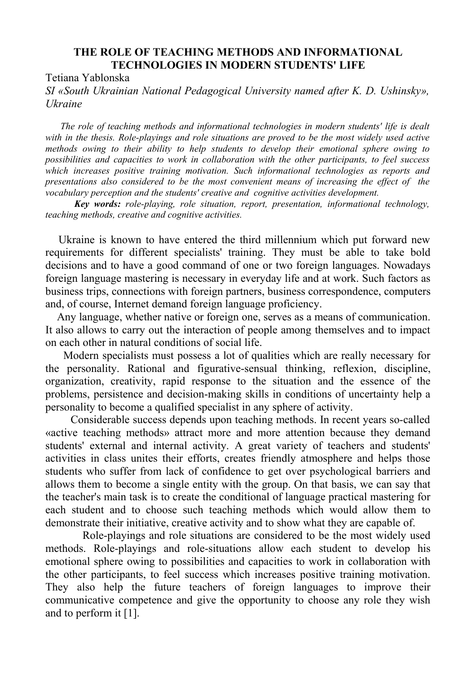## **THE ROLE OF TEACHING METHODS AND INFORMATIONAL TECHNOLOGIES IN MODERN STUDENTS' LIFE**

Tetiana Yablonska

*SI «South Ukrainian National Pedagogical University named after K. D. Ushinsky», Ukraine*

 *The role of teaching methods and informational technologies in modern students' life is dealt with in the thesis. Role-playings and role situations are proved to be the most widely used active methods owing to their ability to help students to develop their emotional sphere owing to possibilities and capacities to work in collaboration with the other participants, to feel success which increases positive training motivation. Such informational technologies as reports and presentations also considered to be the most convenient means of increasing the effect of the vocabulary perception and the students' creative and cognitive activities development.*

 *Key words: role-playing, role situation, report, presentation, informational technology, teaching methods, creative and cognitive activities.* 

 Ukraine is known to have entered the third millennium which put forward new requirements for different specialists' training. They must be able to take bold decisions and to have a good command of one or two foreign languages. Nowadays foreign language mastering is necessary in everyday life and at work. Such factors as business trips, connections with foreign partners, business correspondence, computers and, of course, Internet demand foreign language proficiency.

 Any language, whether native or foreign one, serves as a means of communication. It also allows to carry out the interaction of people among themselves and to impact on each other in natural conditions of social life.

 Modern specialists must possess a lot of qualities which are really necessary for the personality. Rational and figurative-sensual thinking, reflexion, discipline, organization, creativity, rapid response to the situation and the essence of the problems, persistence and decision-making skills in conditions of uncertainty help a personality to become a qualified specialist in any sphere of activity.

 Considerable success depends upon teaching methods. In recent years so-called «active teaching methods» attract more and more attention because they demand students' external and internal activity. A great variety of teachers and students' activities in class unites their efforts, creates friendly atmosphere and helps those students who suffer from lack of confidence to get over psychological barriers and allows them to become a single entity with the group. On that basis, we can say that the teacher's main task is to create the conditional of language practical mastering for each student and to choose such teaching methods which would allow them to demonstrate their initiative, creative activity and to show what they are capable of.

 Role-playings and role situations are considered to be the most widely used methods. Role-playings and role-situations allow each student to develop his emotional sphere owing to possibilities and capacities to work in collaboration with the other participants, to feel success which increases positive training motivation. They also help the future teachers of foreign languages to improve their communicative competence and give the opportunity to choose any role they wish and to perform it [1].